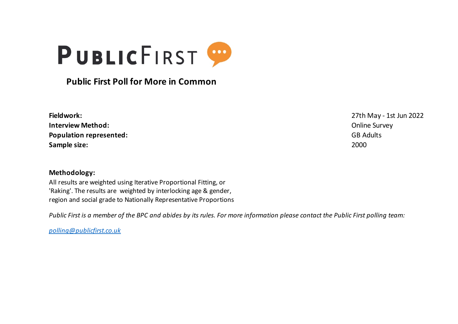

## **Public First Poll for More in Common**

| Fieldwork:                     | 27th May           |
|--------------------------------|--------------------|
| <b>Interview Method:</b>       | <b>Online Sure</b> |
| <b>Population represented:</b> | <b>GB Adults</b>   |
| Sample size:                   | 2000               |

**Methodology:**

All results are weighted using Iterative Proportional Fitting, or 'Raking'. The results are weighted by interlocking age & gender, region and social grade to Nationally Representative Proportions

*Public First is a member of the BPC and abides by its rules. For more information please contact the Public First polling team:*

*polling@publicfirst.co.uk*

**Fieldwork:** 27th May - 1st Jun 2022 **Online Survey**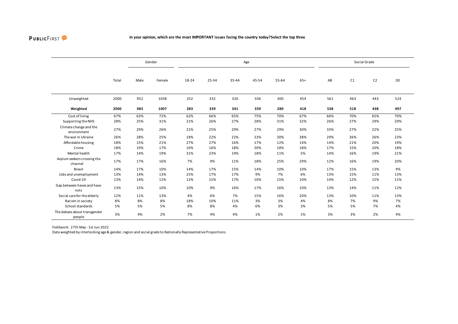

|                                        |       |      | Gender |       |       |       | Age   |       |       |     |     | Social Grade   |     |
|----------------------------------------|-------|------|--------|-------|-------|-------|-------|-------|-------|-----|-----|----------------|-----|
|                                        | Total | Male | Female | 18-24 | 25-34 | 35-44 | 45-54 | 55-64 | $65+$ | AB  | C1  | C <sub>2</sub> | DE  |
| Unweighted                             | 2000  | 952  | 1038   | 252   | 332   | 326   | 336   | 300   | 454   | 561 | 463 | 443            | 524 |
| Weighted                               | 2000  | 983  | 1007   | 283   | 339   | 341   | 339   | 280   | 418   | 538 | 518 | 438            | 497 |
| Cost of living                         | 67%   | 63%  | 72%    | 62%   | 66%   | 65%   | 75%   | 70%   | 67%   | 66% | 70% | 65%            | 70% |
| Supporting the NHS                     | 28%   | 25%  | 31%    | 21%   | 26%   | 27%   | 28%   | 31%   | 32%   | 26% | 27% | 29%            | 29% |
| Climate change and the<br>environment  | 27%   | 29%  | 26%    | 21%   | 25%   | 29%   | 27%   | 29%   | 30%   | 33% | 27% | 22%            | 25% |
| The war in Ukraine                     | 26%   | 28%  | 25%    | 18%   | 22%   | 22%   | 23%   | 30%   | 38%   | 29% | 26% | 26%            | 23% |
| Affordable housing                     | 18%   | 15%  | 21%    | 27%   | 27%   | 16%   | 17%   | 12%   | 14%   | 14% | 21% | 20%            | 19% |
| Crime                                  | 18%   | 19%  | 17%    | 16%   | 16%   | 18%   | 20%   | 18%   | 18%   | 17% | 15% | 20%            | 18% |
| Mental health                          | 17%   | 14%  | 19%    | 31%   | 23%   | 19%   | 18%   | 11%   | 5%    | 14% | 16% | 19%            | 21% |
| Asylum seekers crossing the<br>channel | 17%   | 17%  | 16%    | 7%    | 9%    | 11%   | 18%   | 25%   | 29%   | 12% | 16% | 19%            | 20% |
| <b>Brexit</b>                          | 14%   | 17%  | 10%    | 14%   | 17%   | 15%   | 14%   | 10%   | 10%   | 17% | 15% | 13%            | 9%  |
| Jobs and unemployment                  | 13%   | 14%  | 13%    | 25%   | 17%   | 17%   | 9%    | 7%    | 6%    | 13% | 15% | 11%            | 13% |
| Covid-19                               | 13%   | 14%  | 12%    | 12%   | 15%   | 17%   | 10%   | 15%   | 10%   | 14% | 12% | 15%            | 11% |
| Gap between haves and have<br>nots     | 13%   | 15%  | 10%    | 10%   | 9%    | 16%   | 17%   | 16%   | 10%   | 13% | 14% | 11%            | 12% |
| Social care for the elderly            | 12%   | 11%  | 13%    | 4%    | 6%    | 7%    | 15%   | 16%   | 20%   | 13% | 10% | 11%            | 13% |
| Racism in society                      | 8%    | 8%   | 8%     | 18%   | 10%   | 11%   | 3%    | 3%    | 4%    | 8%  | 7%  | 9%             | 7%  |
| School standards                       | 5%    | 5%   | 5%     | 8%    | 8%    | 4%    | 6%    | 3%    | 3%    | 5%  | 5%  | 7%             | 4%  |
| The debate about transgender<br>people | 3%    | 4%   | 2%     | 7%    | 4%    | 4%    | 1%    | 2%    | 1%    | 3%  | 3%  | 2%             | 4%  |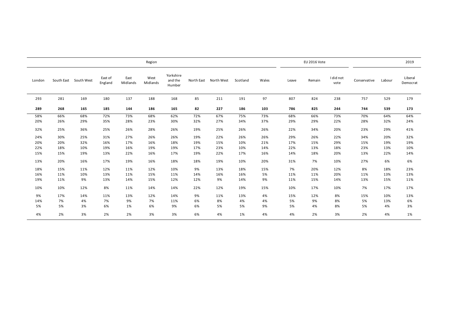|        |     |                       |                    |                  | Region           |                                |            |            |          |       |       | <b>EU 2016 Vote</b> |                   |              |        | 2019                |
|--------|-----|-----------------------|--------------------|------------------|------------------|--------------------------------|------------|------------|----------|-------|-------|---------------------|-------------------|--------------|--------|---------------------|
| London |     | South East South West | East of<br>England | East<br>Midlands | West<br>Midlands | Yorkshire<br>and the<br>Humber | North East | North West | Scotland | Wales | Leave | Remain              | I did not<br>vote | Conservative | Labour | Liberal<br>Democrat |
| 293    | 281 | 169                   | 180                | 137              | 188              | 168                            | 85         | 211        | 191      | 97    | 807   | 824                 | 238               | 757          | 529    | 179                 |
| 289    | 268 | 165                   | 185                | 144              | 186              | 165                            | 82         | 227        | 186      | 103   | 786   | 825                 | 244               | 744          | 539    | 173                 |
| 58%    | 66% | 68%                   | 72%                | 73%              | 68%              | 62%                            | 72%        | 67%        | 75%      | 73%   | 68%   | 66%                 | 73%               | 70%          | 64%    | 64%                 |
| 20%    | 26% | 29%                   | 35%                | 28%              | 23%              | 30%                            | 32%        | 27%        | 34%      | 37%   | 29%   | 29%                 | 22%               | 28%          | 32%    | 24%                 |
| 32%    | 25% | 36%                   | 25%                | 26%              | 28%              | 26%                            | 19%        | 25%        | 26%      | 26%   | 22%   | 34%                 | 20%               | 23%          | 29%    | 41%                 |
| 24%    | 30% | 25%                   | 31%                | 27%              | 26%              | 26%                            | 19%        | 22%        | 26%      | 26%   | 29%   | 26%                 | 22%               | 34%          | 20%    | 32%                 |
| 20%    | 20% | 32%                   | 16%                | 17%              | 16%              | 18%                            | 19%        | 15%        | 10%      | 21%   | 17%   | 15%                 | 29%               | 15%          | 19%    | 19%                 |
| 22%    | 18% | 10%                   | 19%                | 16%              | 19%              | 19%                            | 17%        | 23%        | 10%      | 14%   | 22%   | 13%                 | 18%               | 23%          | 13%    | 10%                 |
| 15%    | 15% | 19%                   | 13%                | 22%              | 16%              | 17%                            | 19%        | 22%        | 17%      | 16%   | 14%   | 18%                 | 20%               | 13%          | 22%    | 14%                 |
| 13%    | 20% | 16%                   | 17%                | 19%              | 16%              | 18%                            | 18%        | 19%        | 10%      | 20%   | 31%   | 7%                  | 10%               | 27%          | 6%     | 6%                  |
| 18%    | 15% | 11%                   | 12%                | 11%              | 12%              | 10%                            | 9%         | 13%        | 18%      | 15%   | 7%    | 20%                 | 12%               | 8%           | 18%    | 23%                 |
| 16%    | 11% | 10%                   | 13%                | 11%              | 15%              | 11%                            | 14%        | 16%        | 16%      | 5%    | 11%   | 11%                 | 20%               | 11%          | 13%    | 13%                 |
| 19%    | 11% | 9%                    | 13%                | 14%              | 15%              | 12%                            | 12%        | 9%         | 14%      | 9%    | 11%   | 15%                 | 14%               | 13%          | 15%    | 11%                 |
| 10%    | 10% | 12%                   | 8%                 | 11%              | 14%              | 14%                            | 22%        | 12%        | 19%      | 15%   | 10%   | 17%                 | 10%               | 7%           | 17%    | 17%                 |
| 9%     | 17% | 14%                   | 11%                | 13%              | 12%              | 14%                            | 9%         | 11%        | 13%      | 4%    | 15%   | 12%                 | 8%                | 15%          | 10%    | 13%                 |
| 14%    | 7%  | 4%                    | 7%                 | 9%               | 7%               | 11%                            | 6%         | 8%         | 4%       | 4%    | 5%    | 9%                  | 8%                | 5%           | 13%    | 6%                  |
| 5%     | 5%  | 3%                    | 6%                 | 1%               | 6%               | 9%                             | 6%         | 5%         | 5%       | 9%    | 5%    | 4%                  | 8%                | 5%           | 4%     | 3%                  |
| 4%     | 2%  | 3%                    | 2%                 | 2%               | 3%               | 3%                             | 6%         | 4%         | 1%       | 4%    | 4%    | 2%                  | 3%                | 2%           | 4%     | 1%                  |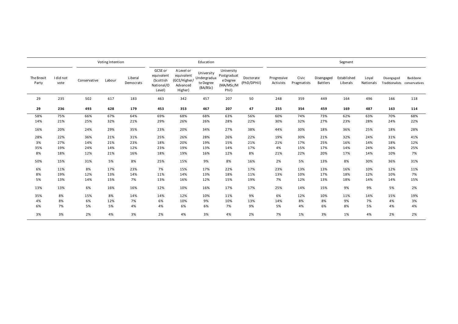|                     |                   |              | Voting Intention |                      |                                                            |                                                                 | Education                                          |                                                             |                          |                          |                      |                               | Segment                 |                    |            |                                           |
|---------------------|-------------------|--------------|------------------|----------------------|------------------------------------------------------------|-----------------------------------------------------------------|----------------------------------------------------|-------------------------------------------------------------|--------------------------|--------------------------|----------------------|-------------------------------|-------------------------|--------------------|------------|-------------------------------------------|
| The Brexit<br>Party | I did not<br>vote | Conservative | Labour           | Liberal<br>Democrats | GCSE or<br>equivalent<br>(Scottish<br>National/O<br>Level) | A Level or<br>equivalent<br>(GCE/Higher/<br>Advanced<br>Higher) | University<br>Undergradua<br>te Degree<br>(BA/BSc) | University<br>Postgraduat<br>e Degree<br>(MA/MSc/M<br>Phil) | Doctorate<br>(PhD/DPHil) | Progressive<br>Activists | Civic<br>Pragmatists | Disengaged<br><b>Battlers</b> | Established<br>Liberals | Loyal<br>Nationals | Disengaged | Backbone<br>Traditionalists conservatives |
| 29                  | 235               | 502          | 617              | 183                  | 463                                                        | 342                                                             | 457                                                | 207                                                         | 50                       | 248                      | 359                  | 449                           | 164                     | 496                | 166        | 118                                       |
| 29                  | 236               | 493          | 628              | 179                  | 453                                                        | 353                                                             | 467                                                | 207                                                         | 47                       | 255                      | 354                  | 459                           | 169                     | 487                | 163        | 114                                       |
| 58%                 | 75%               | 66%          | 67%              | 64%                  | 69%                                                        | 68%                                                             | 68%                                                | 63%                                                         | 56%                      | 60%                      | 74%                  | 73%                           | 62%                     | 63%                | 70%        | 68%                                       |
| 14%                 | 21%               | 25%          | 32%              | 21%                  | 29%                                                        | 26%                                                             | 26%                                                | 28%                                                         | 22%                      | 30%                      | 32%                  | 27%                           | 23%                     | 28%                | 24%        | 22%                                       |
| 16%                 | 20%               | 24%          | 29%              | 35%                  | 23%                                                        | 20%                                                             | 34%                                                | 27%                                                         | 38%                      | 44%                      | 30%                  | 18%                           | 36%                     | 25%                | 18%        | 28%                                       |
| 28%                 | 22%               | 36%          | 21%              | 31%                  | 25%                                                        | 26%                                                             | 28%                                                | 26%                                                         | 22%                      | 19%                      | 30%                  | 21%                           | 32%                     | 24%                | 31%        | 41%                                       |
| 3%                  | 27%               | 14%          | 21%              | 23%                  | 18%                                                        | 20%                                                             | 19%                                                | 15%                                                         | 21%                      | 21%                      | 17%                  | 25%                           | 16%                     | 14%                | 18%        | 12%                                       |
| 35%                 | 19%               | 24%          | 14%              | 12%                  | 23%                                                        | 19%                                                             | 13%                                                | 14%                                                         | 17%                      | 4%                       | 15%                  | 17%                           | 14%                     | 24%                | 26%        | 25%                                       |
| 8%                  | 18%               | 12%          | 21%              | 16%                  | 18%                                                        | 19%                                                             | 16%                                                | 12%                                                         | 8%                       | 21%                      | 22%                  | 20%                           | 17%                     | 14%                | 10%        | 7%                                        |
| 50%                 | 15%               | 31%          | 5%               | 8%                   | 25%                                                        | 15%                                                             | 9%                                                 | 8%                                                          | 16%                      | 2%                       | 5%                   | 13%                           | 8%                      | 30%                | 36%        | 31%                                       |
| 6%                  | 11%               | 8%           | 17%              | 23%                  | 7%                                                         | 15%                                                             | 17%                                                | 22%                                                         | 17%                      | 23%                      | 13%                  | 13%                           | 16%                     | 10%                | 12%        | 11%                                       |
| 8%                  | 19%               | 12%          | 13%              | 14%                  | 11%                                                        | 14%                                                             | 13%                                                | 18%                                                         | 11%                      | 13%                      | 10%                  | 17%                           | 18%                     | 12%                | 10%        | 7%                                        |
| 5%                  | 13%               | 14%          | 15%              | 7%                   | 13%                                                        | 16%                                                             | 12%                                                | 15%                                                         | 19%                      | 7%                       | 12%                  | 13%                           | 18%                     | 14%                | 14%        | 15%                                       |
| 13%                 | 13%               | 6%           | 16%              | 16%                  | 12%                                                        | 10%                                                             | 16%                                                | 17%                                                         | 17%                      | 25%                      | 14%                  | 15%                           | 9%                      | 9%                 | 5%         | 2%                                        |
| 35%                 | 8%                | 15%          | 8%               | 14%                  | 14%                                                        | 12%                                                             | 10%                                                | 11%                                                         | 9%                       | 6%                       | 12%                  | 10%                           | 11%                     | 14%                | 15%        | 19%                                       |
| 4%                  | 8%                | 6%           | 12%              | 7%                   | 6%                                                         | 10%                                                             | 9%                                                 | 10%                                                         | 13%                      | 14%                      | 8%                   | 8%                            | 9%                      | 7%                 | 4%         | 3%                                        |
| 6%                  | 7%                | 5%           | 5%               | 4%                   | 4%                                                         | 6%                                                              | 6%                                                 | 7%                                                          | 9%                       | 5%                       | 4%                   | 6%                            | 8%                      | 5%                 | 4%         | 4%                                        |
| 3%                  | 3%                | 2%           | 4%               | 3%                   | 2%                                                         | 4%                                                              | 3%                                                 | 4%                                                          | 2%                       | 7%                       | 1%                   | 3%                            | 1%                      | 4%                 | 2%         | 2%                                        |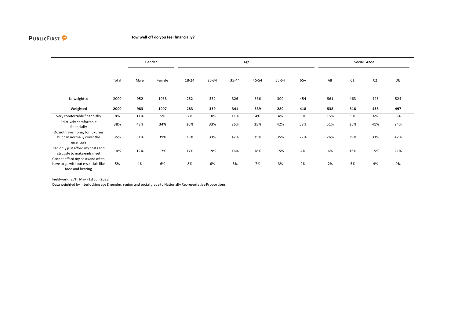

## **How well off do you feel financially?**

|                                                                                            |       |      | Gender |       |       |       | Age   |       |       |     |     | Social Grade   |     |
|--------------------------------------------------------------------------------------------|-------|------|--------|-------|-------|-------|-------|-------|-------|-----|-----|----------------|-----|
|                                                                                            | Total | Male | Female | 18-24 | 25-34 | 35-44 | 45-54 | 55-64 | $65+$ | AB  | C1  | C <sub>2</sub> | DE  |
| Unweighted                                                                                 | 2000  | 952  | 1038   | 252   | 332   | 326   | 336   | 300   | 454   | 561 | 463 | 443            | 524 |
| Weighted                                                                                   | 2000  | 983  | 1007   | 283   | 339   | 341   | 339   | 280   | 418   | 538 | 518 | 438            | 497 |
| Very comfortable financially                                                               | 8%    | 11%  | 5%     | 7%    | 10%   | 11%   | 4%    | 4%    | 9%    | 15% | 5%  | 6%             | 3%  |
| Relatively comfortable<br>financially                                                      | 38%   | 43%  | 34%    | 30%   | 33%   | 26%   | 35%   | 42%   | 58%   | 51% | 35% | 41%            | 24% |
| Do not have money for luxuries<br>but can normally cover the<br>essentials                 | 35%   | 31%  | 39%    | 38%   | 33%   | 42%   | 35%   | 35%   | 27%   | 26% | 39% | 33%            | 42% |
| Can only just afford my costs and<br>struggle to make ends meet                            | 14%   | 12%  | 17%    | 17%   | 19%   | 16%   | 18%   | 15%   | 4%    | 6%  | 16% | 15%            | 21% |
| Cannot afford my costs and often<br>have to go without essentials like<br>food and heating | 5%    | 4%   | 6%     | 8%    | 6%    | 5%    | 7%    | 3%    | 2%    | 2%  | 5%  | 4%             | 9%  |

Fieldwork: 27th May - 1st Jun 2022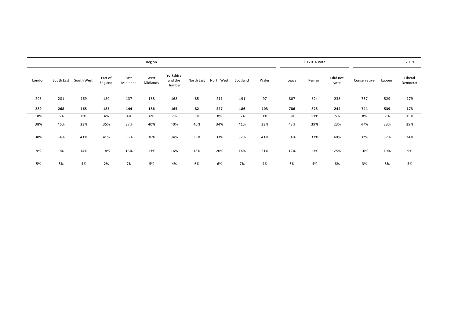|        |     |                       |                    |                  | Region           |                                |            |            |          |       |       | EU 2016 Vote |                   |              |        | 2019                |
|--------|-----|-----------------------|--------------------|------------------|------------------|--------------------------------|------------|------------|----------|-------|-------|--------------|-------------------|--------------|--------|---------------------|
| London |     | South East South West | East of<br>England | East<br>Midlands | West<br>Midlands | Yorkshire<br>and the<br>Humber | North East | North West | Scotland | Wales | Leave | Remain       | I did not<br>vote | Conservative | Labour | Liberal<br>Democrat |
| 293    | 281 | 169                   | 180                | 137              | 188              | 168                            | 85         | 211        | 191      | 97    | 807   | 824          | 238               | 757          | 529    | 179                 |
| 289    | 268 | 165                   | 185                | 144              | 186              | 165                            | 82         | 227        | 186      | 103   | 786   | 825          | 244               | 744          | 539    | 173                 |
| 18%    | 6%  | 8%                    | 4%                 | 4%               | 6%               | 7%                             | 3%         | 8%         | 6%       | 1%    | 6%    | 11%          | 5%                | 8%           | 7%     | 15%                 |
| 38%    | 46% | 33%                   | 35%                | 37%              | 40%              | 40%                            | 40%        | 34%        | 41%      | 33%   | 43%   | 39%          | 23%               | 47%          | 33%    | 39%                 |
| 30%    | 34% | 41%                   | 41%                | 36%              | 36%              | 34%                            | 33%        | 33%        | 32%      | 41%   | 34%   | 33%          | 40%               | 32%          | 37%    | 34%                 |
| 9%     | 9%  | 14%                   | 18%                | 16%              | 13%              | 16%                            | 18%        | 20%        | 14%      | 21%   | 12%   | 13%          | 25%               | 10%          | 19%    | 9%                  |
| 5%     | 5%  | 4%                    | 2%                 | 7%               | 5%               | 4%                             | 6%         | 6%         | 7%       | 4%    | 5%    | 4%           | 8%                | 3%           | 5%     | 3%                  |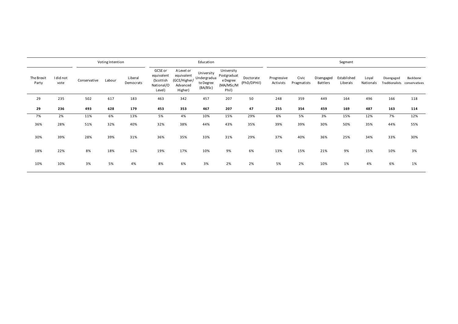|                     |                   |              | Voting Intention |                      |                                                            |                                                                 | Education                                          |                                                             |                          |                          |                      |                        | Segment                 |                    |            |                                           |
|---------------------|-------------------|--------------|------------------|----------------------|------------------------------------------------------------|-----------------------------------------------------------------|----------------------------------------------------|-------------------------------------------------------------|--------------------------|--------------------------|----------------------|------------------------|-------------------------|--------------------|------------|-------------------------------------------|
| The Brexit<br>Party | I did not<br>vote | Conservative | Labour           | Liberal<br>Democrats | GCSE or<br>equivalent<br>(Scottish<br>National/O<br>Level) | A Level or<br>equivalent<br>(GCE/Higher/<br>Advanced<br>Higher) | University<br>Undergradua<br>te Degree<br>(BA/BSc) | University<br>Postgraduat<br>e Degree<br>(MA/MSc/M<br>Phil) | Doctorate<br>(PhD/DPHil) | Progressive<br>Activists | Civic<br>Pragmatists | Disengaged<br>Battlers | Established<br>Liberals | Loyal<br>Nationals | Disengaged | Backbone<br>Traditionalists conservatives |
| 29                  | 235               | 502          | 617              | 183                  | 463                                                        | 342                                                             | 457                                                | 207                                                         | 50                       | 248                      | 359                  | 449                    | 164                     | 496                | 166        | 118                                       |
| 29                  | 236               | 493          | 628              | 179                  | 453                                                        | 353                                                             | 467                                                | 207                                                         | 47                       | 255                      | 354                  | 459                    | 169                     | 487                | 163        | 114                                       |
| 7%                  | 2%                | 11%          | 6%               | 13%                  | 5%                                                         | 4%                                                              | 10%                                                | 15%                                                         | 29%                      | 6%                       | 5%                   | 3%                     | 15%                     | 12%                | 7%         | 12%                                       |
| 36%                 | 28%               | 51%          | 32%              | 40%                  | 32%                                                        | 38%                                                             | 44%                                                | 43%                                                         | 35%                      | 39%                      | 39%                  | 30%                    | 50%                     | 35%                | 44%        | 55%                                       |
| 30%                 | 39%               | 28%          | 39%              | 31%                  | 36%                                                        | 35%                                                             | 33%                                                | 31%                                                         | 29%                      | 37%                      | 40%                  | 36%                    | 25%                     | 34%                | 33%        | 30%                                       |
| 18%                 | 22%               | 8%           | 18%              | 12%                  | 19%                                                        | 17%                                                             | 10%                                                | 9%                                                          | 6%                       | 13%                      | 15%                  | 21%                    | 9%                      | 15%                | 10%        | 3%                                        |
| 10%                 | 10%               | 3%           | 5%               | 4%                   | 8%                                                         | 6%                                                              | 3%                                                 | 2%                                                          | 2%                       | 5%                       | 2%                   | 10%                    | 1%                      | 4%                 | 6%         | 1%                                        |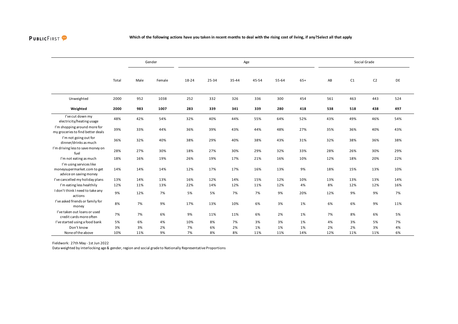

|                                                                                  |       |      | Gender |       |           |       | Age   |       |       |     |     | Social Grade   |     |
|----------------------------------------------------------------------------------|-------|------|--------|-------|-----------|-------|-------|-------|-------|-----|-----|----------------|-----|
|                                                                                  | Total | Male | Female | 18-24 | $25 - 34$ | 35-44 | 45-54 | 55-64 | $65+$ | AB  | C1  | C <sub>2</sub> | DE  |
| Unweighted                                                                       | 2000  | 952  | 1038   | 252   | 332       | 326   | 336   | 300   | 454   | 561 | 463 | 443            | 524 |
| Weighted                                                                         | 2000  | 983  | 1007   | 283   | 339       | 341   | 339   | 280   | 418   | 538 | 518 | 438            | 497 |
| I've cut down my<br>electricity/heating usage                                    | 48%   | 42%  | 54%    | 32%   | 40%       | 44%   | 55%   | 64%   | 52%   | 43% | 49% | 46%            | 54% |
| I'm shopping around more for<br>my groceries to find better deals                | 39%   | 33%  | 44%    | 36%   | 39%       | 43%   | 44%   | 48%   | 27%   | 35% | 36% | 40%            | 43% |
| I'm not going out for<br>dinner/drinks as much                                   | 36%   | 32%  | 40%    | 38%   | 29%       | 40%   | 38%   | 43%   | 31%   | 32% | 38% | 36%            | 38% |
| I'm driving less to save money on<br>fuel                                        | 28%   | 27%  | 30%    | 18%   | 27%       | 30%   | 29%   | 32%   | 33%   | 28% | 26% | 30%            | 29% |
| I'm not eating as much                                                           | 18%   | 16%  | 19%    | 26%   | 19%       | 17%   | 21%   | 16%   | 10%   | 12% | 18% | 20%            | 22% |
| I'm using services like<br>moneysupermarket.com to get<br>advice on saving money | 14%   | 14%  | 14%    | 12%   | 17%       | 17%   | 16%   | 13%   | 9%    | 18% | 15% | 13%            | 10% |
| I've cancelled my holiday plans                                                  | 13%   | 14%  | 13%    | 16%   | 12%       | 14%   | 15%   | 12%   | 10%   | 13% | 13% | 13%            | 14% |
| I'm eating less healthily                                                        | 12%   | 11%  | 13%    | 22%   | 14%       | 12%   | 11%   | 12%   | 4%    | 8%  | 12% | 12%            | 16% |
| I don't think I need to take any<br>actions                                      | 9%    | 12%  | 7%     | 5%    | 5%        | 7%    | 7%    | 9%    | 20%   | 12% | 9%  | 9%             | 7%  |
| I've asked friends or family for<br>money                                        | 8%    | 7%   | 9%     | 17%   | 13%       | 10%   | 6%    | 3%    | 1%    | 6%  | 6%  | 9%             | 11% |
| I've taken out loans or used<br>credit cards more often                          | 7%    | 7%   | 6%     | 9%    | 11%       | 11%   | 6%    | 2%    | 1%    | 7%  | 8%  | 6%             | 5%  |
| I've started using a food bank                                                   | 5%    | 6%   | 4%     | 10%   | 8%        | 7%    | 3%    | 3%    | 1%    | 4%  | 3%  | 5%             | 7%  |
| Don't know                                                                       | 3%    | 3%   | 2%     | 7%    | 6%        | 2%    | 1%    | 1%    | 1%    | 2%  | 2%  | 3%             | 4%  |
| None of the above                                                                | 10%   | 11%  | 9%     | 7%    | 8%        | 8%    | 11%   | 11%   | 14%   | 12% | 11% | 11%            | 6%  |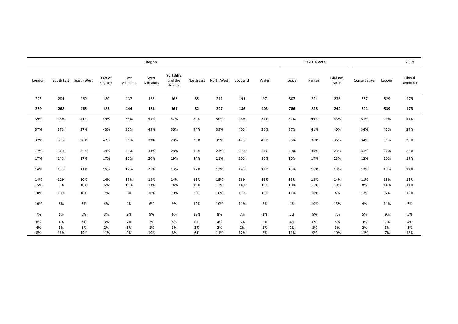|        |     |                       |                    |                  | Region           |                                |            |            |          |       |       | EU 2016 Vote |                   |              |        | 2019                |
|--------|-----|-----------------------|--------------------|------------------|------------------|--------------------------------|------------|------------|----------|-------|-------|--------------|-------------------|--------------|--------|---------------------|
| London |     | South East South West | East of<br>England | East<br>Midlands | West<br>Midlands | Yorkshire<br>and the<br>Humber | North East | North West | Scotland | Wales | Leave | Remain       | I did not<br>vote | Conservative | Labour | Liberal<br>Democrat |
| 293    | 281 | 169                   | 180                | 137              | 188              | 168                            | 85         | 211        | 191      | 97    | 807   | 824          | 238               | 757          | 529    | 179                 |
| 289    | 268 | 165                   | 185                | 144              | 186              | 165                            | 82         | 227        | 186      | 103   | 786   | 825          | 244               | 744          | 539    | 173                 |
| 39%    | 48% | 41%                   | 49%                | 53%              | 53%              | 47%                            | 59%        | 50%        | 48%      | 54%   | 52%   | 49%          | 43%               | 51%          | 49%    | 44%                 |
| 37%    | 37% | 37%                   | 43%                | 35%              | 45%              | 36%                            | 44%        | 39%        | 40%      | 36%   | 37%   | 41%          | 40%               | 34%          | 45%    | 34%                 |
| 32%    | 35% | 28%                   | 42%                | 36%              | 39%              | 28%                            | 38%        | 39%        | 42%      | 46%   | 36%   | 36%          | 36%               | 34%          | 39%    | 35%                 |
| 17%    | 31% | 32%                   | 34%                | 31%              | 33%              | 28%                            | 35%        | 23%        | 29%      | 34%   | 30%   | 30%          | 23%               | 31%          | 27%    | 28%                 |
| 17%    | 14% | 17%                   | 17%                | 17%              | 20%              | 19%                            | 24%        | 21%        | 20%      | 10%   | 16%   | 17%          | 23%               | 13%          | 20%    | 14%                 |
| 14%    | 13% | 11%                   | 15%                | 12%              | 21%              | 13%                            | 17%        | 12%        | 14%      | 12%   | 13%   | 16%          | 13%               | 13%          | 17%    | 11%                 |
| 14%    | 12% | 10%                   | 14%                | 13%              | 13%              | 14%                            | 11%        | 15%        | 16%      | 11%   | 13%   | 13%          | 14%               | 11%          | 15%    | 13%                 |
| 15%    | 9%  | 10%                   | 6%                 | 11%              | 13%              | 14%                            | 19%        | 12%        | 14%      | 10%   | 10%   | 11%          | 19%               | 8%           | 14%    | 11%                 |
| 10%    | 10% | 10%                   | 7%                 | 6%               | 10%              | 10%                            | 5%         | 10%        | 13%      | 10%   | 11%   | 10%          | 6%                | 13%          | 6%     | 15%                 |
| 10%    | 8%  | 6%                    | 4%                 | 4%               | 6%               | 9%                             | 12%        | 10%        | 11%      | 6%    | 4%    | 10%          | 13%               | 4%           | 11%    | 5%                  |
| 7%     | 6%  | 6%                    | 3%                 | 9%               | 9%               | 6%                             | 13%        | 8%         | 7%       | 1%    | 5%    | 8%           | 7%                | 5%           | 9%     | 5%                  |
| 8%     | 4%  | 7%                    | 3%                 | 2%               | 3%               | 5%                             | 8%         | 4%         | 5%       | 3%    | 4%    | 6%           | 5%                | 3%           | 7%     | 4%                  |
| 4%     | 3%  | 4%                    | 2%                 | 5%               | 1%               | 3%                             | 3%         | 2%         | 2%       | 1%    | 2%    | 2%           | 3%                | 2%           | 3%     | 1%                  |
| 8%     | 11% | 14%                   | 11%                | 9%               | 10%              | 8%                             | 6%         | 11%        | 12%      | 8%    | 11%   | 9%           | 10%               | 11%          | 7%     | 12%                 |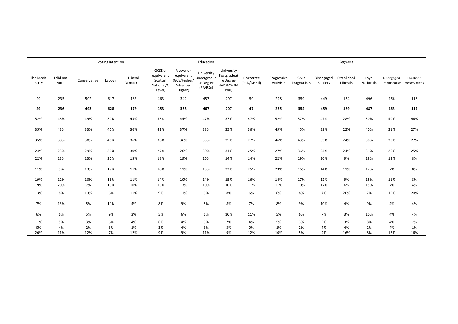|                     |                   |              | Voting Intention |                      |                                                            |                                                                 | Education                                          |                                                             |                          |                          |                      |                               | Segment                 |                    |                                             |          |
|---------------------|-------------------|--------------|------------------|----------------------|------------------------------------------------------------|-----------------------------------------------------------------|----------------------------------------------------|-------------------------------------------------------------|--------------------------|--------------------------|----------------------|-------------------------------|-------------------------|--------------------|---------------------------------------------|----------|
| The Brexit<br>Party | I did not<br>vote | Conservative | Labour           | Liberal<br>Democrats | GCSE or<br>equivalent<br>(Scottish<br>National/O<br>Level) | A Level or<br>equivalent<br>(GCE/Higher/<br>Advanced<br>Higher) | University<br>Undergradua<br>te Degree<br>(BA/BSc) | University<br>Postgraduat<br>e Degree<br>(MA/MSc/M<br>Phil) | Doctorate<br>(PhD/DPHil) | Progressive<br>Activists | Civic<br>Pragmatists | Disengaged<br><b>Battlers</b> | Established<br>Liberals | Loyal<br>Nationals | Disengaged<br>Traditionalists conservatives | Backbone |
| 29                  | 235               | 502          | 617              | 183                  | 463                                                        | 342                                                             | 457                                                | 207                                                         | 50                       | 248                      | 359                  | 449                           | 164                     | 496                | 166                                         | 118      |
| 29                  | 236               | 493          | 628              | 179                  | 453                                                        | 353                                                             | 467                                                | 207                                                         | 47                       | 255                      | 354                  | 459                           | 169                     | 487                | 163                                         | 114      |
| 52%                 | 46%               | 49%          | 50%              | 45%                  | 55%                                                        | 44%                                                             | 47%                                                | 37%                                                         | 47%                      | 52%                      | 57%                  | 47%                           | 28%                     | 50%                | 40%                                         | 46%      |
| 35%                 | 43%               | 33%          | 45%              | 36%                  | 41%                                                        | 37%                                                             | 38%                                                | 35%                                                         | 36%                      | 49%                      | 45%                  | 39%                           | 22%                     | 40%                | 31%                                         | 27%      |
| 35%                 | 38%               | 30%          | 40%              | 36%                  | 36%                                                        | 36%                                                             | 35%                                                | 35%                                                         | 27%                      | 46%                      | 43%                  | 33%                           | 24%                     | 38%                | 28%                                         | 27%      |
| 24%                 | 23%               | 29%          | 30%              | 30%                  | 27%                                                        | 26%                                                             | 30%                                                | 31%                                                         | 25%                      | 27%                      | 36%                  | 24%                           | 24%                     | 31%                | 26%                                         | 25%      |
| 22%                 | 23%               | 13%          | 20%              | 13%                  | 18%                                                        | 19%                                                             | 16%                                                | 14%                                                         | 14%                      | 22%                      | 19%                  | 20%                           | 9%                      | 19%                | 12%                                         | 8%       |
| 11%                 | 9%                | 13%          | 17%              | 11%                  | 10%                                                        | 11%                                                             | 15%                                                | 22%                                                         | 25%                      | 23%                      | 16%                  | 14%                           | 11%                     | 12%                | 7%                                          | 8%       |
| 19%                 | 12%               | 10%          | 16%              | 11%                  | 14%                                                        | 10%                                                             | 14%                                                | 15%                                                         | 16%                      | 14%                      | 17%                  | 12%                           | 9%                      | 15%                | 11%                                         | 8%       |
| 19%                 | 20%               | 7%           | 15%              | 10%                  | 13%                                                        | 13%                                                             | 10%                                                | 10%                                                         | 11%                      | 11%                      | 10%                  | 17%                           | 6%                      | 15%                | 7%                                          | 4%       |
| 13%                 | 8%                | 13%          | 6%               | 11%                  | 9%                                                         | 11%                                                             | 9%                                                 | 8%                                                          | 6%                       | 6%                       | 8%                   | 7%                            | 20%                     | 7%                 | 15%                                         | 20%      |
| 7%                  | 13%               | 5%           | 11%              | 4%                   | 8%                                                         | 9%                                                              | 8%                                                 | 8%                                                          | 7%                       | 8%                       | 9%                   | 10%                           | 4%                      | 9%                 | 4%                                          | 4%       |
| 6%                  | 6%                | 5%           | 9%               | 3%                   | 5%                                                         | 6%                                                              | 6%                                                 | 10%                                                         | 11%                      | 5%                       | 6%                   | 7%                            | 3%                      | 10%                | 4%                                          | 4%       |
| 11%                 | 5%                | 3%           | 6%               | 4%                   | 6%                                                         | 4%                                                              | 5%                                                 | 7%                                                          | 4%                       | 5%                       | 3%                   | 5%                            | 3%                      | 8%                 | 4%                                          | 2%       |
| 0%                  | 4%                | 2%           | 3%               | 1%                   | 3%                                                         | 4%                                                              | 3%                                                 | 3%                                                          | 0%                       | 1%                       | 2%                   | 4%                            | 4%                      | 2%                 | 4%                                          | 1%       |
| 20%                 | 11%               | 12%          | 7%               | 12%                  | 9%                                                         | 9%                                                              | 11%                                                | 9%                                                          | 12%                      | 10%                      | 5%                   | 9%                            | 16%                     | 8%                 | 18%                                         | 16%      |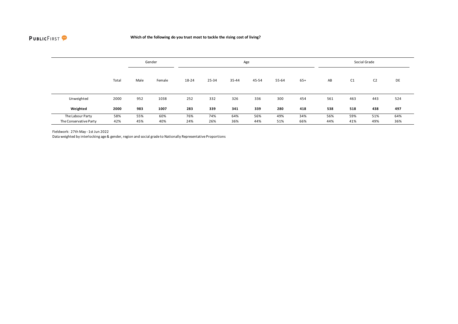

|                        |       |      | Gender |       |       |       | Age   |       |       |     |     | Social Grade   |     |
|------------------------|-------|------|--------|-------|-------|-------|-------|-------|-------|-----|-----|----------------|-----|
|                        | Total | Male | Female | 18-24 | 25-34 | 35-44 | 45-54 | 55-64 | $65+$ | AB  | C1  | C <sub>2</sub> | DE  |
| Unweighted             | 2000  | 952  | 1038   | 252   | 332   | 326   | 336   | 300   | 454   | 561 | 463 | 443            | 524 |
| Weighted               | 2000  | 983  | 1007   | 283   | 339   | 341   | 339   | 280   | 418   | 538 | 518 | 438            | 497 |
| The Labour Party       | 58%   | 55%  | 60%    | 76%   | 74%   | 64%   | 56%   | 49%   | 34%   | 56% | 59% | 51%            | 64% |
| The Conservative Party | 42%   | 45%  | 40%    | 24%   | 26%   | 36%   | 44%   | 51%   | 66%   | 44% | 41% | 49%            | 36% |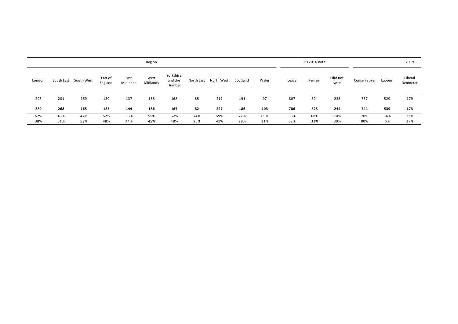|        |            |            |                    |                  | Region           |                                |            |            |          |       |       | EU 2016 Vote |                   |              |        | 2019                |
|--------|------------|------------|--------------------|------------------|------------------|--------------------------------|------------|------------|----------|-------|-------|--------------|-------------------|--------------|--------|---------------------|
| London | South East | South West | East of<br>England | East<br>Midlands | West<br>Midlands | Yorkshire<br>and the<br>Humber | North East | North West | Scotland | Wales | Leave | Remain       | I did not<br>vote | Conservative | Labour | Liberal<br>Democrat |
| 293    | 281        | 169        | 180                | 137              | 188              | 168                            | 85         | 211        | 191      | 97    | 807   | 824          | 238               | 757          | 529    | 179                 |
| 289    | 268        | 165        | 185                | 144              | 186              | 165                            | 82         | 227        | 186      | 103   | 786   | 825          | 244               | 744          | 539    | 173                 |
| 62%    | 49%        | 47%        | 52%                | 56%              | 55%              | 52%                            | 74%        | 59%        | 72%      | 69%   | 38%   | 68%          | 70%               | 20%          | 94%    | 73%                 |
| 38%    | 51%        | 53%        | 48%                | 44%              | 45%              | 48%                            | 26%        | 41%        | 28%      | 31%   | 62%   | 32%          | 30%               | 80%          | 6%     | 27%                 |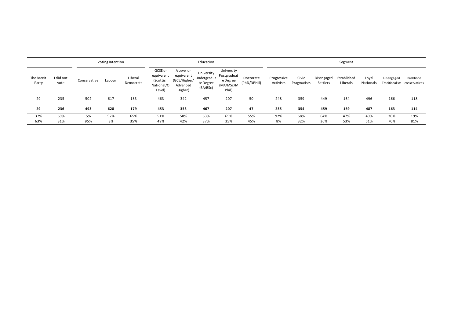|                     |                   |              | Voting Intention |                      |                                                            |                                                                 | Education                                          |                                                             |                          | Segment                  |                      |                               |                         |                    |            |                                           |
|---------------------|-------------------|--------------|------------------|----------------------|------------------------------------------------------------|-----------------------------------------------------------------|----------------------------------------------------|-------------------------------------------------------------|--------------------------|--------------------------|----------------------|-------------------------------|-------------------------|--------------------|------------|-------------------------------------------|
| The Brexit<br>Party | I did not<br>vote | Conservative | Labour           | Liberal<br>Democrats | GCSE or<br>equivalent<br>(Scottish<br>National/O<br>Level) | A Level or<br>equivalent<br>(GCE/Higher/<br>Advanced<br>Higher) | University<br>Undergradua<br>te Degree<br>(BA/BSc) | University<br>Postgraduat<br>e Degree<br>(MA/MSc/M<br>Phil) | Doctorate<br>(PhD/DPHil) | Progressive<br>Activists | Civic<br>Pragmatists | Disengaged<br><b>Battlers</b> | Established<br>Liberals | Loyal<br>Nationals | Disengaged | Backbone<br>Traditionalists conservatives |
| 29                  | 235               | 502          | 617              | 183                  | 463                                                        | 342                                                             | 457                                                | 207                                                         | 50                       | 248                      | 359                  | 449                           | 164                     | 496                | 166        | 118                                       |
| 29                  | 236               | 493          | 628              | 179                  | 453                                                        | 353                                                             | 467                                                | 207                                                         | 47                       | 255                      | 354                  | 459                           | 169                     | 487                | 163        | 114                                       |
| 37%                 | 69%               | 5%           | 97%              | 65%                  | 51%                                                        | 58%                                                             | 63%                                                | 65%                                                         | 55%                      | 92%                      | 68%                  | 64%                           | 47%                     | 49%                | 30%        | 19%                                       |
| 63%                 | 31%               | 95%          | 3%               | 35%                  | 49%                                                        | 42%                                                             | 37%                                                | 35%                                                         | 45%                      | 8%                       | 32%                  | 36%                           | 53%                     | 51%                | 70%        | 81%                                       |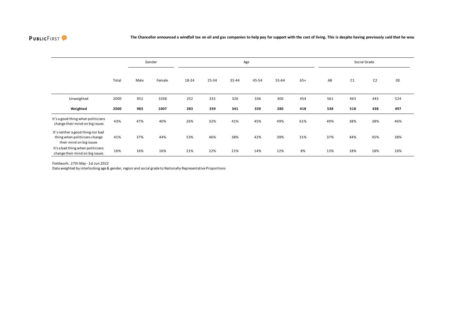

|                                                                                                |       |      | Gender |       |       |       | Age   | Social Grade |       |     |     |                |     |
|------------------------------------------------------------------------------------------------|-------|------|--------|-------|-------|-------|-------|--------------|-------|-----|-----|----------------|-----|
|                                                                                                | Total | Male | Female | 18-24 | 25-34 | 35-44 | 45-54 | 55-64        | $65+$ | AB  | C1  | C <sub>2</sub> | DE  |
| Unweighted                                                                                     | 2000  | 952  | 1038   | 252   | 332   | 326   | 336   | 300          | 454   | 561 | 463 | 443            | 524 |
| Weighted                                                                                       | 2000  | 983  | 1007   | 283   | 339   | 341   | 339   | 280          | 418   | 538 | 518 | 438            | 497 |
| It's a good thing when politicians<br>change their mind on big issues                          | 43%   | 47%  | 40%    | 26%   | 32%   | 41%   | 45%   | 49%          | 61%   | 49% | 38% | 38%            | 46% |
| It's neither a good thing nor bad<br>thing when politicians change<br>their mind on big issues | 41%   | 37%  | 44%    | 53%   | 46%   | 38%   | 42%   | 39%          | 31%   | 37% | 44% | 45%            | 38% |
| It's a bad thing when politicians<br>change their mind on big issues                           | 16%   | 16%  | 16%    | 21%   | 22%   | 21%   | 14%   | 12%          | 8%    | 13% | 18% | 18%            | 16% |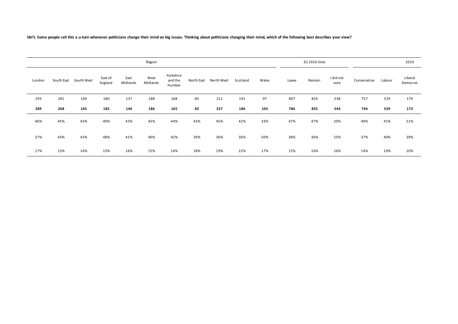ldn't. Some people call this a u-turn whenever politicians change their mind on big issues. Thinking about politicians changing their mind, which of the following best describes your view?

|        | Region |                       |                    |                  |                  |                                |            |            |          |       |       |        | EU 2016 Vote      |              |        |                     |  |
|--------|--------|-----------------------|--------------------|------------------|------------------|--------------------------------|------------|------------|----------|-------|-------|--------|-------------------|--------------|--------|---------------------|--|
| London |        | South East South West | East of<br>England | East<br>Midlands | West<br>Midlands | Yorkshire<br>and the<br>Humber | North East | North West | Scotland | Wales | Leave | Remain | I did not<br>vote | Conservative | Labour | Liberal<br>Democrat |  |
| 293    | 281    | 169                   | 180                | 137              | 188              | 168                            | 85         | 211        | 191      | 97    | 807   | 824    | 238               | 757          | 529    | 179                 |  |
| 289    | 268    | 165                   | 185                | 144              | 186              | 165                            | 82         | 227        | 186      | 103   | 786   | 825    | 244               | 744          | 539    | 173                 |  |
| 46%    | 45%    | 43%                   | 40%                | 43%              | 45%              | 44%                            | 43%        | 45%        | 42%      | 33%   | 47%   | 47%    | 29%               | 49%          | 41%    | 51%                 |  |
| 37%    | 43%    | 43%                   | 48%                | 41%              | 40%              | 42%                            | 39%        | 36%        | 36%      | 50%   | 38%   | 36%    | 55%               | 37%          | 40%    | 39%                 |  |
| 17%    | 13%    | 14%                   | 13%                | 16%              | 15%              | 14%                            | 18%        | 19%        | 22%      | 17%   | 15%   | 16%    | 16%               | 14%          | 19%    | 10%                 |  |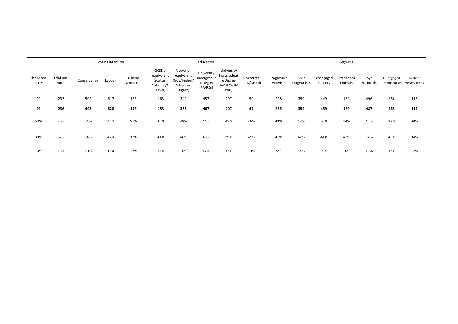| Voting Intention    |                   |              |        |                      |                                                            |                                                                 | Education                                          |                                                             |                          | Segment                  |                      |                        |                         |                    |            |                                           |
|---------------------|-------------------|--------------|--------|----------------------|------------------------------------------------------------|-----------------------------------------------------------------|----------------------------------------------------|-------------------------------------------------------------|--------------------------|--------------------------|----------------------|------------------------|-------------------------|--------------------|------------|-------------------------------------------|
| The Brexit<br>Party | I did not<br>vote | Conservative | Labour | Liberal<br>Democrats | GCSE or<br>equivalent<br>(Scottish<br>National/O<br>Level) | A Level or<br>equivalent<br>(GCE/Higher/<br>Advanced<br>Higher) | University<br>Undergradua<br>te Degree<br>(BA/BSc) | University<br>Postgraduat<br>e Degree<br>(MA/MSc/M<br>Phil) | Doctorate<br>(PhD/DPHil) | Progressive<br>Activists | Civic<br>Pragmatists | Disengaged<br>Battlers | Established<br>Liberals | Loyal<br>Nationals | Disengaged | Backbone<br>Traditionalists conservatives |
| 29                  | 235               | 502          | 617    | 183                  | 463                                                        | 342                                                             | 457                                                | 207                                                         | 50                       | 248                      | 359                  | 449                    | 164                     | 496                | 166        | 118                                       |
| 29                  | 236               | 493          | 628    | 179                  | 453                                                        | 353                                                             | 467                                                | 207                                                         | 47                       | 255                      | 354                  | 459                    | 169                     | 487                | 163        | 114                                       |
| 53%                 | 30%               | 51%          | 40%    | 51%                  | 45%                                                        | 38%                                                             | 44%                                                | 45%                                                         | 46%                      | 49%                      | 43%                  | 36%                    | 44%                     | 47%                | 38%        | 49%                                       |
| 33%                 | 52%               | 36%          | 42%    | 37%                  | 41%                                                        | 46%                                                             | 40%                                                | 39%                                                         | 41%                      | 41%                      | 42%                  | 44%                    | 47%                     | 34%                | 45%        | 34%                                       |
| 13%                 | 18%               | 13%          | 18%    | 12%                  | 14%                                                        | 16%                                                             | 17%                                                | 17%                                                         | 13%                      | 9%                       | 14%                  | 20%                    | 10%                     | 19%                | 17%        | 17%                                       |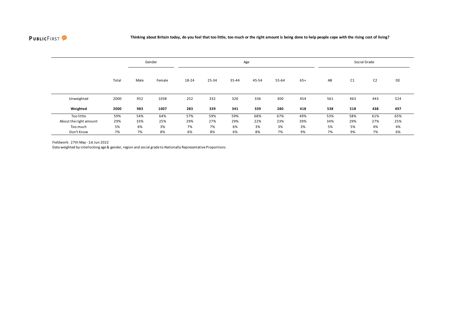

|                        |       |      | Gender | Age   |       |       |       |       |       |     | Social Grade |                |     |  |  |
|------------------------|-------|------|--------|-------|-------|-------|-------|-------|-------|-----|--------------|----------------|-----|--|--|
|                        | Total | Male | Female | 18-24 | 25-34 | 35-44 | 45-54 | 55-64 | $65+$ | AB  | C1           | C <sub>2</sub> | DE  |  |  |
| Unweighted             | 2000  | 952  | 1038   | 252   | 332   | 326   | 336   | 300   | 454   | 561 | 463          | 443            | 524 |  |  |
| Weighted               | 2000  | 983  | 1007   | 283   | 339   | 341   | 339   | 280   | 418   | 538 | 518          | 438            | 497 |  |  |
| Too little             | 59%   | 54%  | 64%    | 57%   | 59%   | 59%   | 68%   | 67%   | 49%   | 53% | 58%          | 61%            | 65% |  |  |
| About the right amount | 29%   | 33%  | 25%    | 29%   | 27%   | 29%   | 22%   | 23%   | 39%   | 34% | 29%          | 27%            | 25% |  |  |
| Too much               | 5%    | 6%   | 3%     | 7%    | 7%    | 6%    | 3%    | 3%    | 3%    | 5%  | 5%           | 4%             | 4%  |  |  |
| Don't Know             | 7%    | 7%   | 8%     | 6%    | 8%    | 6%    | 8%    | 7%    | 9%    | 7%  | 9%           | 7%             | 6%  |  |  |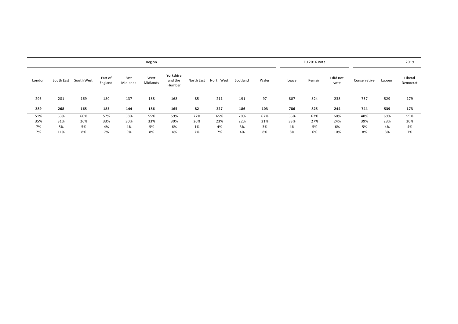|        | Region     |            |                    |                  |                  |                                |            |            |          |       |       |        | EU 2016 Vote      |              | 2019   |                     |
|--------|------------|------------|--------------------|------------------|------------------|--------------------------------|------------|------------|----------|-------|-------|--------|-------------------|--------------|--------|---------------------|
| London | South East | South West | East of<br>England | East<br>Midlands | West<br>Midlands | Yorkshire<br>and the<br>Humber | North East | North West | Scotland | Wales | Leave | Remain | I did not<br>vote | Conservative | Labour | Liberal<br>Democrat |
| 293    | 281        | 169        | 180                | 137              | 188              | 168                            | 85         | 211        | 191      | 97    | 807   | 824    | 238               | 757          | 529    | 179                 |
| 289    | 268        | 165        | 185                | 144              | 186              | 165                            | 82         | 227        | 186      | 103   | 786   | 825    | 244               | 744          | 539    | 173                 |
| 51%    | 53%        | 60%        | 57%                | 58%              | 55%              | 59%                            | 72%        | 65%        | 70%      | 67%   | 55%   | 62%    | 60%               | 48%          | 69%    | 59%                 |
| 35%    | 31%        | 26%        | 33%                | 30%              | 33%              | 30%                            | 20%        | 23%        | 22%      | 21%   | 33%   | 27%    | 24%               | 39%          | 23%    | 30%                 |
| 7%     | 5%         | 5%         | 4%                 | 4%               | 5%               | 6%                             | 1%         | 4%         | 3%       | 3%    | 4%    | 5%     | 6%                | 5%           | 4%     | 4%                  |
| 7%     | 11%        | 8%         | 7%                 | 9%               | 8%               | 4%                             | 7%         | 7%         | 4%       | 8%    | 8%    | 6%     | 10%               | 8%           | 3%     | 7%                  |